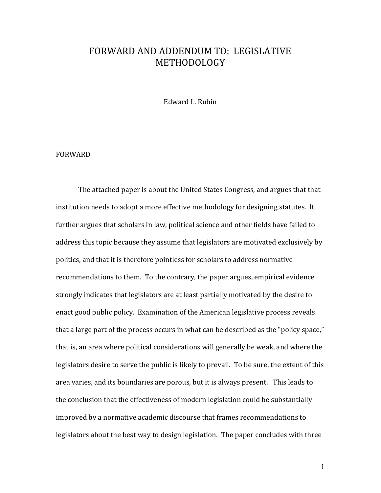# FORWARD AND ADDENDUM TO: LEGISLATIVE METHODOLOGY

Edward L. Rubin

### FORWARD

The attached paper is about the United States Congress, and argues that that institution needs to adopt a more effective methodology for designing statutes. It further argues that scholars in law, political science and other fields have failed to address this topic because they assume that legislators are motivated exclusively by politics, and that it is therefore pointless for scholars to address normative recommendations to them. To the contrary, the paper argues, empirical evidence strongly indicates that legislators are at least partially motivated by the desire to enact good public policy. Examination of the American legislative process reveals that a large part of the process occurs in what can be described as the "policy space," that is, an area where political considerations will generally be weak, and where the legislators desire to serve the public is likely to prevail. To be sure, the extent of this area varies, and its boundaries are porous, but it is always present. This leads to the conclusion that the effectiveness of modern legislation could be substantially improved by a normative academic discourse that frames recommendations to legislators about the best way to design legislation. The paper concludes with three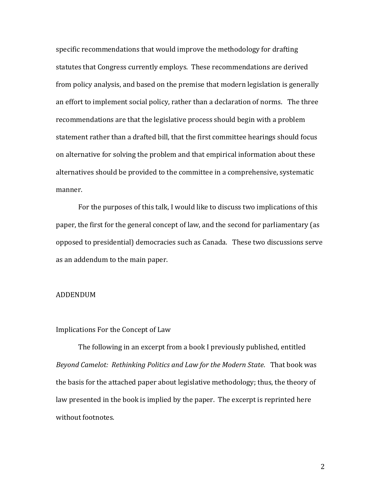specific recommendations that would improve the methodology for drafting statutes that Congress currently employs. These recommendations are derived from policy analysis, and based on the premise that modern legislation is generally an effort to implement social policy, rather than a declaration of norms. The three recommendations are that the legislative process should begin with a problem statement rather than a drafted bill, that the first committee hearings should focus on alternative for solving the problem and that empirical information about these alternatives should be provided to the committee in a comprehensive, systematic manner.

For the purposes of this talk, I would like to discuss two implications of this paper, the first for the general concept of law, and the second for parliamentary (as opposed to presidential) democracies such as Canada. These two discussions serve as an addendum to the main paper.

#### ADDENDUM

## Implications For the Concept of Law

The following in an excerpt from a book I previously published, entitled *Beyond Camelot: Rethinking Politics and Law for the Modern State.* That book was the basis for the attached paper about legislative methodology; thus, the theory of law presented in the book is implied by the paper. The excerpt is reprinted here without footnotes.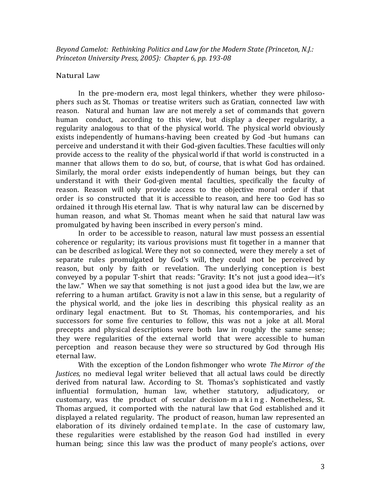*Beyond Camelot: Rethinking Politics and Law for the Modern State (Princeton, N.J.: Princeton University Press, 2005): Chapter 6, pp. 193-08*

# Natural Law

In the pre-modern era, most legal thinkers, whether they were philosophers such as St. Thomas or treatise writers such as Gratian, connected law with .<br>reason. Natural and human law are not merely a set of commands that govern human conduct, according to this view, but display a deeper regularity, a regularity analogous to that of the physical world. The physical world obviously exists independently of humans-having been created by God -but humans can perceive and understand it with their God-given faculties. These faculties will only provide access to the reality of the physical world if that world is constructed in a manner that allows them to do so, but, of course, that is what God has ordained. Similarly, the moral order exists independently of human beings, but they can understand it with their God-given mental faculties, specifically the faculty of reason. Reason will only provide access to the objective moral order if that order is so constructed that it is accessible to reason, and here too God has so ordained it through His eternal law. That is why natural law can be discerned by human reason, and what St. Thomas meant when he said that natural law was promulgated by having been inscribed in every person's mind.

In order to be accessible to reason, natural law must possess an essential coherence or regularity; its various provisions must fit together in a manner that can be described as logical. Were they not so connected, were they merely a set of separate rules promulgated by God's will, they could not be perceived by reason, but only by faith or revelation. The underlying conception is best conveyed by a popular T-shirt that reads: "Gravity: It's not just a good idea—it's the law." When we say that something is not just a good idea but the law, we are referring to a human artifact. Gravity is not a law in this sense, but a regularity of the physical world, and the joke lies in describing this physical reality as an ordinary legal enactment. But to St. Thomas, his contemporaries, and his successors for some five centuries to follow, this was not a joke at all. Moral precepts and physical descriptions were both law in roughly the same sense; they were regularities of the external world that were accessible to human perception and reason because they were so structured by God through His eternal law.

With the exception of the London fishmonger who wrote *The Mirror of the Justices,* no medieval legal writer believed that all actual laws could be directly derived from natural law. According to St. Thomas's sophisticated and vastly influential formulation, human law, whether statutory, adjudicatory, or customary, was the product of secular decision- m a k i n g . Nonetheless, St. Thomas argued, it comported with the natural law that God established and it displayed a related regularity. The product of reason, human law represented an elaboration of its divinely ordained template. In the case of customary law, these regularities were established by the reason God had instilled in every human being; since this law was the product of many people's actions, over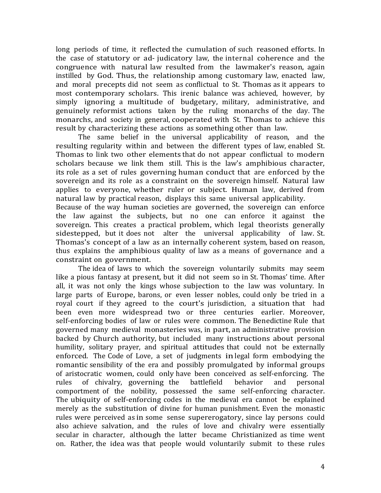long periods of time, it reflected the cumulation of such reasoned efforts. In the case of statutory or ad- judicatory law, the internal coherence and the congruence with natural law resulted from the lawmaker's reason, again instilled by God. Thus, the relationship among customary law, enacted law, and moral precepts did not seem as conflictual to St. Thomas as it appears to most contemporary scholars. This irenic balance was achieved, however, by simply ignoring a multitude of budgetary, military, administrative, and genuinely reformist actions taken by the ruling monarchs of the day. The monarchs, and society in general, cooperated with St. Thomas to achieve this result by characterizing these actions as something other than law.

The same belief in the universal applicability of reason, and the resulting regularity within and between the different types of law, enabled St. Thomas to link two other elements that do not appear conflictual to modern scholars because we link them still. This is the law's amphibious character, its role as a set of rules governing human conduct that are enforced by the sovereign and its role as a constraint on the sovereign himself. Natural law applies to everyone, whether ruler or subject. Human law, derived from natural law by practical reason, displays this same universal applicability.

Because of the way human societies are governed, the sovereign can enforce the law against the subjects, but no one can enforce it against the sovereign. This creates a practical problem, which legal theorists generally sidestepped, but it does not alter the universal applicability of law. St. Thomas's concept of a law as an internally coherent system, based on reason, thus explains the amphibious quality of law as a means of governance and a constraint on government.

The idea of laws to which the sovereign voluntarily submits may seem like a pious fantasy at present, but it did not seem so in St. Thomas' time. After all, it was not only the kings whose subjection to the law was voluntary. In large parts of Europe, barons, or even lesser nobles, could only be tried in a royal court if they agreed to the court's jurisdiction, a situation that had been even more widespread two or three centuries earlier. Moreover, self-enforcing bodies of law or rules were common. The Benedictine Rule that governed many medieval monasteries was, in part, an administrative provision backed by Church authority, but included many instructions about personal humility, solitary prayer, and spiritual attitudes that could not be externally enforced. The Code of Love, a set of judgments in legal form embodying the romantic sensibility of the era and possibly promulgated by informal groups of aristocratic women, could only have been conceived as self-enforcing. The rules of chivalry, governing the battlefield behavior and personal comportment of the nobility, possessed the same self-enforcing character. The ubiquity of self-enforcing codes in the medieval era cannot be explained merely as the substitution of divine for human punishment. Even the monastic rules were perceived as in some sense supererogatory, since lay persons could also achieve salvation, and the rules of love and chivalry were essentially secular in character, although the latter became Christianized as time went on. Rather, the idea was that people would voluntarily submit to these rules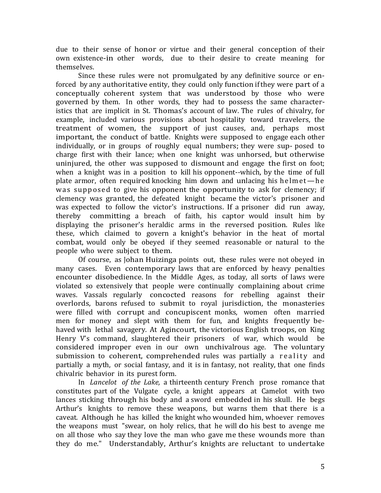due to their sense of honor or virtue and their general conception of their own existence-in other words, due to their desire to create meaning for themselves.

Since these rules were not promulgated by any definitive source or enforced by any authoritative entity, they could only function ifthey were part of a conceptually coherent system that was understood by those who were governed by them. In other words, they had to possess the same characteristics that are implicit in St. Thomas's account of law. The rules of chivalry, for example, included various provisions about hospitality toward travelers, the treatment of women, the support of just causes, and, perhaps most important, the conduct of battle. Knights were supposed to engage each other individually, or in groups of roughly equal numbers; they were sup- posed to charge first with their lance; when one knight was unhorsed, but otherwise uninjured, the other was supposed to dismount and engage the first on foot; when a knight was in a position to kill his opponent--which, by the time of full plate armor, often required knocking him down and unlacing his helmet—he was supposed to give his opponent the opportunity to ask for clemency; if clemency was granted, the defeated knight became the victor's prisoner and was expected to follow the victor's instructions. If a prisoner did run away, thereby committing a breach of faith, his captor would insult him by displaying the prisoner's heraldic arms in the reversed position. Rules like these, which claimed to govern a knight's behavior in the heat of mortal combat, would only be obeyed if they seemed reasonable or natural to the people who were subject to them.

Of course, as Johan Huizinga points out, these rules were not obeyed in many cases. Even contemporary laws that are enforced by heavy penalties encounter disobedience. In the Middle Ages, as today, all sorts of laws were violated so extensively that people were continually complaining about crime waves. Vassals regularly concocted reasons for rebelling against their overlords, barons refused to submit to royal jurisdiction, the monasteries were filled with corrupt and concupiscent monks, women often married men for money and slept with them for fun, and knights frequently behaved with lethal savagery. At Agincourt, the victorious English troops, on King Henry V's command, slaughtered their prisoners of war, which would be considered improper even in our own unchivalrous age. The voluntary submission to coherent, comprehended rules was partially a reality and partially a myth, or social fantasy, and it is in fantasy, not reality, that one finds chivalric behavior in its purest form.

In *Lancelot of the Lake,* a thirteenth century French prose romance that constitutes part of the Vulgate cycle, a knight appears at Camelot with two lances sticking through his body and a sword embedded in his skull. He begs Arthur's knights to remove these weapons, but warns them that there is a caveat. Although he has killed the knight who wounded him, whoever removes the weapons must "swear, on holy relics, that he will do his best to avenge me on all those who say they love the man who gave me these wounds more than they do me." Understandably, Arthur's knights are reluctant to undertake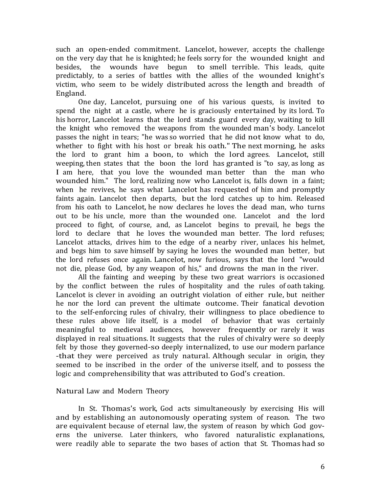such an open-ended commitment. Lancelot, however, accepts the challenge on the very day that he is knighted; he feels sorry for the wounded knight and besides, the wounds have begun to smell terrible. This leads, quite predictably, to a series of battles with the allies of the wounded knight's victim, who seem to be widely distributed across the length and breadth of England.

One day, Lancelot, pursuing one of his various quests, is invited to spend the night at a castle, where he is graciously entertained by its lord. To his horror, Lancelot learns that the lord stands guard every day, waiting to kill the knight who removed the weapons from the wounded man's body. Lancelot passes the night in tears; "he was so worried that he did not know what to do, whether to fight with his host or break his oath." The next morning, he asks the lord to grant him a boon, to which the lord agrees. Lancelot, still weeping, then states that the boon the lord has granted is "to say, as long as I am here, that you love the wounded man better than the man who wounded him." The lord, realizing now who Lancelot is, falls down in a faint; when he revives, he says what Lancelot has requested of him and promptly faints again. Lancelot then departs, but the lord catches up to him. Released from his oath to Lancelot, he now declares he loves the dead man, who turns out to be his uncle, more than the wounded one. Lancelot and the lord proceed to fight, of course, and, as Lancelot begins to prevail, he begs the lord to declare that he loves the wounded man better. The lord refuses; Lancelot attacks, drives him to the edge of a nearby river, unlaces his helmet, and begs him to save himself by saying he loves the wounded man better, but the lord refuses once again. Lancelot, now furious, says that the lord "would not die, please God, by any weapon of his," and drowns the man in the river.

All the fainting and weeping by these two great warriors is occasioned by the conflict between the rules of hospitality and the rules of oath taking. Lancelot is clever in avoiding an outright violation of either rule, but neither he nor the lord can prevent the ultimate outcome. Their fanatical devotion to the self-enforcing rules of chivalry, their willingness to place obedience to these rules above life itself, is a model of behavior that was certainly meaningful to medieval audiences, however frequently or rarely it was displayed in real situations. It suggests that the rules of chivalry were so deeply felt by those they governed-so deeply internalized, to use our modern parlance -that they were perceived as truly natural. Although secular in origin, they seemed to be inscribed in the order of the universe itself, and to possess the logic and comprehensibility that was attributed to God's creation.

# Natural Law and Modern Theory

In St. Thomas's work, God acts simultaneously by exercising His will and by establishing an autonomously operating system of reason. The two are equivalent because of eternal law, the system of reason by which God governs the universe. Later thinkers, who favored naturalistic explanations, were readily able to separate the two bases of action that St. Thomas had so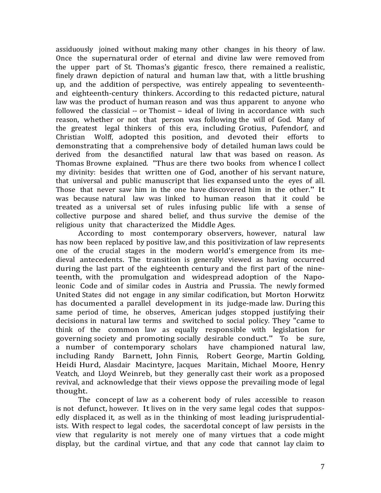assiduously joined without making many other changes in his theory of law. Once the supernatural order of eternal and divine law were removed from the upper part of St. Thomas's gigantic fresco, there remained a realistic, finely drawn depiction of natural and human law that, with a little brushing up, and the addition of perspective, was entirely appealing to seventeenthand eighteenth-century thinkers. According to this redacted picture, natural law was the product of human reason and was thus apparent to anyone who followed the classicial -- or Thomist – ideal of living in accordance with such reason, whether or not that person was following the will of God. Many of the greatest legal thinkers of this era, including Grotius, Pufendorf, and Christian Wolff, adopted this position, and devoted their efforts to demonstrating that a comprehensive body of detailed human laws could be derived from the desanctified natural law that was based on reason. As Thomas Browne explained. "Thus are there two books from whence I collect my divinity: besides that written one of God, another of his servant nature, that universal and public manuscript that lies expansed unto the eyes of all. Those that never saw him in the one have discovered him in the other." It was because natural law was linked to human reason that it could be treated as a universal set of rules infusing public life with a sense of collective purpose and shared belief, and thus survive the demise of the religious unity that characterized the Middle Ages.

According to most contemporary observers, however, natural law has now been replaced by positive law, and this positivization of law represents one of the crucial stages in the modern world's emergence from its medieval antecedents. The transition is generally viewed as having occurred during the last part of the eighteenth century and the first part of the nineteenth, with the promulgation and widespread adoption of the Napoleonic Code and of similar codes in Austria and Prussia. The newly formed United States did not engage in any similar codification, but Morton Horwitz has documented a parallel development in its judge-made law. During this same period of time, he observes, American judges stopped justifying their decisions in natural law terms and switched to social policy. They "came to think of the common law as equally responsible with legislation for governing society and promoting socially desirable conduct." To be sure, a number of contemporary scholars have championed natural law, including Randy Barnett, John Finnis, Robert George, Martin Golding, Heidi Hurd, Alasdair Macintyre, Jacques Maritain, Michael Moore, Henry Veatch, and Lloyd Weinreb, but they generally cast their work as a proposed revival, and acknowledge that their views oppose the prevailing mode of legal thought.

The concept of law as a coherent body of rules accessible to reason is not defunct, however. It lives on in the very same legal codes that supposedly displaced it, as well as in the thinking of most leading jurisprudentialists. With respect to legal codes, the sacerdotal concept of law persists in the view that regularity is not merely one of many virtues that a code might display, but the cardinal virtue, and that any code that cannot lay claim to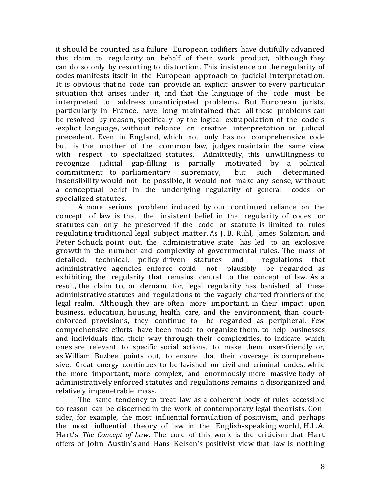it should be counted as a failure. European codifiers have dutifully advanced this claim to regularity on behalf of their work product, although they can do so only by resorting to distortion. This insistence on the regularity of codes manifests itself in the European approach to judicial interpretation. It is obvious that no code can provide an explicit answer to every particular situation that arises under it, and that the language of the code must be interpreted to address unanticipated problems. But European jurists, particularly in France, have long maintained that all these problems can be resolved by reason, specifically by the logical extrapolation of the code's ·explicit language, without reliance on creative interpretation or judicial precedent. Even in England, which not only has no comprehensive code but is the mother of the common law, judges maintain the same view with respect to specialized statutes. Admittedly, this unwillingness to recognize judicial gap-filling is partially motivated by a political commitment to parliamentary supremacy, but such determined insensibility would not be possible, it would not make any sense, without a conceptual belief in the underlying regularity of general codes or specialized statutes.

A more serious problem induced by our continued reliance on the concept of law is that the insistent belief in the regularity of codes or statutes can only be preserved if the code or statute is limited to rules regulating traditional legal subject matter. As J *.* B. Ruhl, James Salzman, and Peter Schuck point out, the administrative state has led to an explosive growth in the number and complexity of governmental rules. The mass of detailed, technical, policy-driven statutes and regulations that administrative agencies enforce could not plausibly be regarded as exhibiting the regularity that remains central to the concept of law. As a result, the claim to, or demand for, legal regularity has banished all these administrative statutes and regulations to the vaguely charted frontiers of the legal realm. Although they are often more important, in their impact upon business, education, housing, health care, and the environment, than courtenforced provisions, they continue to be regarded as peripheral. Few comprehensive efforts have been made to organize them, to help businesses and individuals find their way through their complexities, to indicate which ones are relevant to specific social actions, to make them user-friendly or, as William Buzbee points out, to ensure that their coverage is comprehensive. Great energy continues to be lavished on civil and criminal codes, while the more important, more complex, and enormously more massive body of administratively enforced statutes and regulations remains a disorganized and relatively impenetrable mass.

The same tendency to treat law as a coherent body of rules accessible to reason can be discerned in the work of contemporary legal theorists. Consider, for example, the most influential formulation of positivism, and perhaps the most influential theory of law in the English-speaking world, H.L.A. Hart's *The Concept of Law.* The core of this work is the criticism that Hart offers of John Austin's and Hans Kelsen's positivist view that law is nothing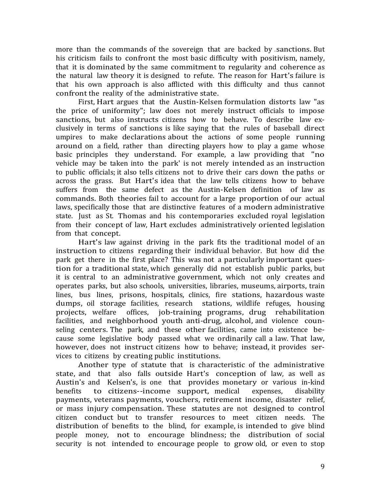more than the commands of the sovereign that are backed by . sanctions. But his criticism fails to confront the most basic difficulty with positivism, namely, that it is dominated by the same commitment to regularity and coherence as the natural law theory it is designed to refute. The reason for Hart's failure is that his own approach is also afflicted with this difficulty and thus cannot confront the reality of the administrative state.

First, Hart argues that the Austin-Kelsen formulation distorts law "as the price of uniformity"; law does not merely instruct officials to impose sanctions, but also instructs citizens how to behave. To describe law exclusively in terms of sanctions is like saying that the rules of baseball direct umpires to make declarations about the actions of some people running around on a field, rather than directing players how to play a game whose basic principles they understand. For example, a law providing that "no vehicle may be taken into the park' is not merely intended as an instruction to public officials; it also tells citizens not to drive their cars down the paths or across the grass. But Hart's idea that the law tells citizens how to behave suffers from the same defect as the Austin-Kelsen definition of law as commands. Both theories fail to account for a large proportion of our actual laws, specifically those that are distinctive features of a modern administrative state. Just as St. Thomas and his contemporaries excluded royal legislation from their concept of law, Hart excludes administratively oriented legislation from that concept.

Hart's law against driving in the park fits the traditional model of an instruction to citizens regarding their individual behavior. But how did the park get there in the first place? This was not a particularly important question for a traditional state, which generally did not establish public parks, but it is central to an administrative government, which not only creates and operates parks, but also schools, universities, libraries, museums, airports, train lines, bus lines, prisons, hospitals, clinics, fire stations, hazardous waste dumps, oil storage facilities, research stations, wildlife refuges, housing projects, welfare offices, job-training programs, drug rehabilitation facilities, and neighborhood youth anti-drug, alcohol, and violence counseling centers. The park, and these other facilities, came into existence because some legislative body passed what we ordinarily call a law. That law, however, does not instruct citizens how to behave; instead, it provides services to citizens by creating public institutions.

Another type of statute that is characteristic of the administrative state, and that also falls outside Hart's conception of law, as well as Austin's and Kelsen's, is one that provides monetary or various in-kind benefits to citizens--income support, medical expenses, disability payments, veterans payments, vouchers, retirement income, disaster relief, or mass injury compensation. These statutes are not designed to control citizen conduct but to transfer resources to meet citizen needs. The distribution of benefits to the blind, for example, is intended to give blind people money, not to encourage blindness; the distribution of social security is not intended to encourage people to grow old, or even to stop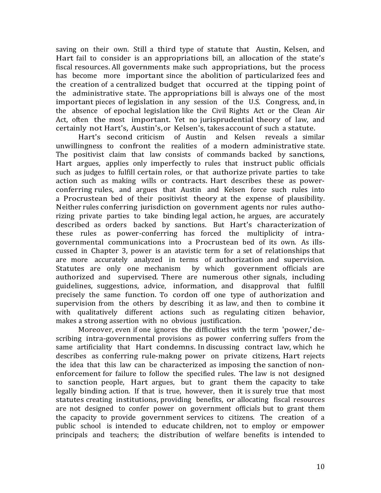saving on their own. Still a third type of statute that Austin, Kelsen, and Hart fail to consider is an appropriations bill, an allocation of the state's fiscal resources. All governments make such appropriations, but the process has become more important since the abolition of particularized fees and the creation of a centralized budget that occurred at the tipping point of the administrative state. The appropriations bill is always one of the most important pieces of legislation in any session of the U.S. Congress, and, in the absence of epochal legislation like the Civil Rights Act or the Clean Air Act, often the most important. Yet no jurisprudential theory of law, and certainly not Hart's, Austin's,or Kelsen's, takes account of such a statute.

Hart's second criticism of Austin and Kelsen reveals a similar unwillingness to confront the realities of a modern administrative state. The positivist claim that law consists of commands backed by sanctions, Hart argues, applies only imperfectly to rules that instruct public officials such as judges to fulfill certain roles, or that authorize private parties to take action such as making wills or contracts. Hart describes these as powerconferring rules, and argues that Austin and Kelsen force such rules into a Procrustean bed of their positivist theory at the expense of plausibility. Neither rules conferring jurisdiction on government agents nor rules authorizing private parties to take binding legal action, he argues, are accurately described as orders backed by sanctions. But Hart's characterization of these rules as power-conferring has forced the multiplicity of intragovernmental communications into a Procrustean bed of its own. As illscussed in Chapter 3, power is an atavistic term for a set of relationships that are more accurately analyzed in terms of authorization and supervision. Statutes are only one mechanism by which government officials are authorized and supervised. There are numerous other signals, including guidelines, suggestions, advice, information, and disapproval that fulfill precisely the same function. To cordon off one type of authorization and supervision from the others by describing it as law, and then to combine it with qualitatively different actions such as regulating citizen behavior, makes a strong assertion with no obvious justification.

Moreover, even if one ignores the difficulties with the term 'power,'describing intra-governmental provisions as power conferring suffers from the same artificiality that Hart condemns. In discussing contract law, which he describes as conferring rule-makng power on private citizens, Hart rejects the idea that this law can be characterized as imposing the sanction of nonenforcement for failure to follow the specified rules. The law is not designed to sanction people, Hart argues, but to grant them the capacity to take legally binding action. If that is true, however, then it is surely true that most statutes creating institutions, providing benefits, or allocating fiscal resources are not designed to confer power on government officials but to grant them the capacity to provide government services to citizens. The creation of a public school is intended to educate children, not to employ or empower principals and teachers; the distribution of welfare benefits is intended to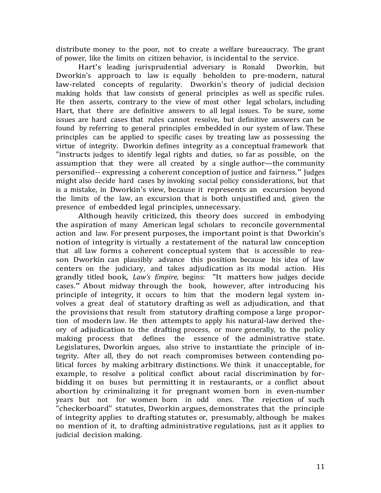distribute money to the poor, not to create a welfare bureaucracy. The grant of power, like the limits on citizen behavior, is incidental to the service.

Hart's leading jurisprudential adversary is Ronald Dworkin, but Dworkin's approach to law is equally beholden to pre-modern, natural law-related concepts of regularity. Dworkin's theory of judicial decision making holds that law consists of general principles as well as specific rules. He then asserts, contrary to the view of most other legal scholars, including Hart, that there are definitive answers to all legal issues. To be sure, some issues are hard cases that rules cannot resolve, but definitive answers can be found by referring to general principles embedded in our system of law. These principles can be applied to specific cases by treating law as possessing the virtue of integrity. Dworkin defines integrity as a conceptual framework that "instructs judges to identify legal rights and duties, so far as possible, on the assumption that they were all created by a single author—the community personified-- expressing <sup>a</sup> coherent conception of justice and fairness." Judges might also decide hard cases by invoking social policy considerations, but that is a mistake, in Dworkin's view, because it represents an excursion beyond the limits of the law, an excursion that is both unjustified and, given the presence of embedded legal principles, unnecessary.

Although heavily criticized, this theory does succeed in embodying the aspiration of many American legal scholars to reconcile governmental action and law. For present purposes, the important point is that Dworkin's notion of integrity is virtually a restatement of the natural law conception that all law forms a coherent conceptual system that is accessible to reason Dworkin can plausibly advance this position because his idea of law centers on the judiciary, and takes adjudication as its modal action. His grandly titled book, *Law's Empire,* begins: "It matters how judges decide cases." About midway through the book, however, after introducing his principle of integrity, it occurs to him that the modern legal system involves a great deal of statutory drafting as well as adjudication, and that the provisions that result from statutory drafting compose a large proportion of modern law. He then attempts to apply his natural-law derived theory of adjudication to the drafting process, or more generally, to the policy making process that defines the essence of the administrative state. Legislatures, Dworkin argues, also strive to instantiate the principle of integrity. After all, they do not reach compromises between contending political forces by making arbitrary distinctions. We think it unacceptable, for example, to resolve a political conflict about racial discrimination by forbidding it on buses but permitting it in restaurants, or a conflict about abortion by criminalizing it for pregnant women born in even-number years but not for women born in odd ones. The rejection of such "checkerboard" statutes, Dworkin argues, demonstrates that the principle of integrity applies to drafting statutes or, presumably, although he makes no mention of it, to drafting administrative regulations, just as it applies to judicial decision making.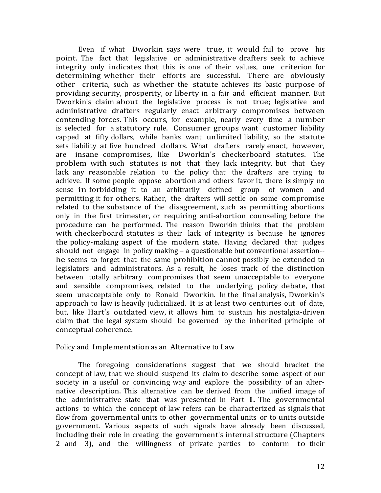Even if what Dworkin says were true, it would fail to prove his point. The fact that legislative or administrative drafters seek to achieve integrity only indicates that this is one of their values, one criterion for determining whether their efforts are successful. There are obviously other criteria, such as whether the statute achieves its basic purpose of providing security, prosperity, or liberty in a fair and efficient manner. But Dworkin's claim about the legislative process is not true; legislative and administrative drafters regularly enact arbitrary compromises between contending forces. This occurs, for example, nearly every time a number is selected for a statutory rule. Consumer groups want customer liability capped at fifty dollars, while banks want unlimited liability, so the statute sets liability at five hundred dollars. What drafters rarely enact, however, are insane compromises, like Dworkin's checkerboard statutes. The problem with such statutes is not that they lack integrity, but that they lack any reasonable relation to the policy that the drafters are trying to achieve. If some people oppose abortion and others favor it, there is simply no sense in forbidding it to an arbitrarily defined group of women and permitting it for others. Rather, the drafters will settle on some compromise related to the substance of the disagreement, such as permitting abortions only in the first trimester, or requiring anti-abortion counseling before the procedure can be performed. The reason Dworkin thinks that the problem with checkerboard statutes is their lack of integrity is because he ignores the policy-making aspect of the modern state. Having declared that judges should not engage in policy making – a questionable but conventional assertion- he seems to forget that the same prohibition cannot possibly be extended to legislators and administrators. As a result, he loses track of the distinction between totally arbitrary compromises that seem unacceptable to everyone and sensible compromises, related to the underlying policy debate, that seem unacceptable only to Ronald Dworkin. In the final analysis, Dworkin's approach to law is heavily judicialized. It is at least two centuries out of date, but, like Hart's outdated view, it allows him to sustain his nostalgia-driven claim that the legal system should be governed by the inherited principle of conceptual coherence.

#### Policy and Implementation as an Alternative to Law

The foregoing considerations suggest that we should bracket the concept of law, that we should suspend its claim to describe some aspect of our society in a useful or convincing way and explore the possibility of an alternative description. This alternative can be derived from the unified image of the administrative state that was presented in Part I. The governmental actions to which the concept of law refers can be characterized as signals that flow from governmental units to other governmental units or to units outside government. Various aspects of such signals have already been discussed, including their role in creating the government's internal structure (Chapters 2 and 3), and the willingness of private parties to conform to their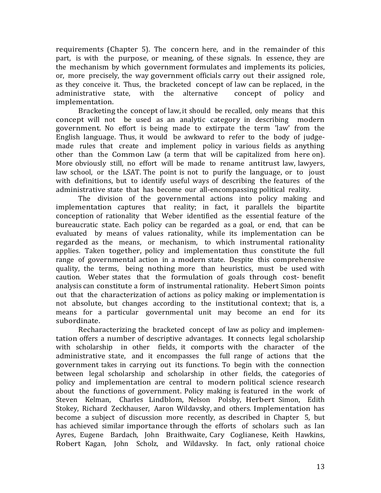requirements (Chapter 5). The concern here, and in the remainder of this part, is with the purpose, or meaning, of these signals. In essence, they are the mechanism by which government formulates and implements its policies, or, more precisely, the way government officials carry out their assigned role, as they conceive it. Thus, the bracketed concept of law can be replaced, in the administrative state, with the alternative concept of policy and implementation.

Bracketing the concept of law, it should be recalled, only means that this concept will not be used as an analytic category in describing modern government. No effort is being made to extirpate the term 'law' from the English language. Thus, it would be awkward to refer to the body of judgemade rules that create and implement policy in various fields as anything other than the Common Law (a term that will be capitalized from here on). More obviously still, no effort will be made to rename antitrust law, lawyers, law school, or the LSAT. The point is not to purify the language, or to joust with definitions, but to identify useful ways of describing the features of the administrative state that has become our all-encompassing political reality.

The division of the governmental actions into policy making and implementation captures that reality; in fact, it parallels the bipartite conception of rationality that Weber identified as the essential feature of the bureaucratic state. Each policy can be regarded as a goal, or end, that can be evaluated by means of values rationality, while its implementation can be regarded as the means, or mechanism, to which instrumental rationality applies. Taken together, policy and implementation thus constitute the full range of governmental action in a modern state. Despite this comprehensive quality, the terms, being nothing more than heuristics, must be used with caution. Weber states that the formulation of goals through cost- benefit analysis can constitute a form of instrumental rationality. Hebert Simon points out that the characterization of actions as policy making or implementation is not absolute, but changes according to the institutional context; that is, a means for a particular governmental unit may become an end for its subordinate.

Recharacterizing the bracketed concept of law as policy and implementation offers a number of descriptive advantages. It connects legal scholarship with scholarship in other fields, it comports with the character of the administrative state, and it encompasses the full range of actions that the government takes in carrying out its functions. To begin with the connection between legal scholarship and scholarship in other fields, the categories of policy and implementation are central to modern political science research about the functions of government. Policy making is featured in the work of Steven Kelman, Charles Lindblom, Nelson Polsby, Herbert Simon, Edith Stokey, Richard Zeckhauser, Aaron Wildavsky, and others. Implementation has become a subject of discussion more recently, as described in Chapter 5, but has achieved similar importance through the efforts of scholars such as Ian Ayres, Eugene Bardach, John Braithwaite, Cary Coglianese, Keith Hawkins, Robert Kagan, John Scholz, and Wildavsky. In fact, only rational choice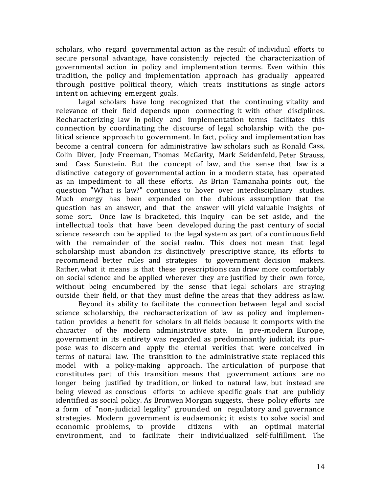scholars, who regard governmental action as the result of individual efforts to secure personal advantage, have consistently rejected the characterization of governmental action in policy and implementation terms. Even within this tradition, the policy and implementation approach has gradually appeared through positive political theory, which treats institutions as single actors intent on achieving emergent goals.

Legal scholars have long recognized that the continuing vitality and relevance of their field depends upon connecting it with other disciplines. Recharacterizing law in policy and implementation terms facilitates this connection by coordinating the discourse of legal scholarship with the political science approach to government. In fact, policy and implementation has become a central concern for administrative law scholars such as Ronald Cass, Colin Diver, Jody Freeman, Thomas McGarity, Mark Seidenfeld, Peter Strauss, and Cass Sunstein. But the concept of law, and the sense that law is a distinctive category of governmental action in a modern state, has operated as an impediment to all these efforts. As Brian Tamanaha points out, the question "What is law?" continues to hover over interdisciplinary studies. Much energy has been expended on the dubious assumption that the question has an answer, and that the answer will yield valuable insights of some sort. Once law is bracketed, this inquiry can be set aside, and the intellectual tools that have been developed during the past century of social science research can be applied to the legal system as part of a continuous field with the remainder of the social realm. This does not mean that legal scholarship must abandon its distinctively prescriptive stance, its efforts to recommend better rules and strategies to government decision makers. Rather, what it means is that these prescriptions can draw more comfortably on social science and be applied wherever they are justified by their own force, without being encumbered by the sense that legal scholars are straying outside their field, or that they must define the areas that they address as law.

Beyond its ability to facilitate the connection between legal and social science scholarship, the recharacterization of law as policy and implementation provides a benefit for scholars in all fields because it comports with the character of the modern administrative state. In pre-modern Europe, government in its entirety was regarded as predominantly judicial; its purpose was to discern and apply the eternal verities that were conceived in terms of natural law. The transition to the administrative state replaced this model with a policy-making approach. The articulation of purpose that constitutes part of this transition means that government actions are no longer being justified by tradition, or linked to natural law, but instead are being viewed as conscious efforts to achieve specific goals that are publicly identified as social policy. As Bronwen Morgan suggests, these policy efforts are a form of "non-judicial legality" grounded on regulatory and governance strategies. Modern government is eudaemonic; it exists to solve social and economic problems, to provide citizens with an optimal material environment, and to facilitate their individualized self-fulfillment. The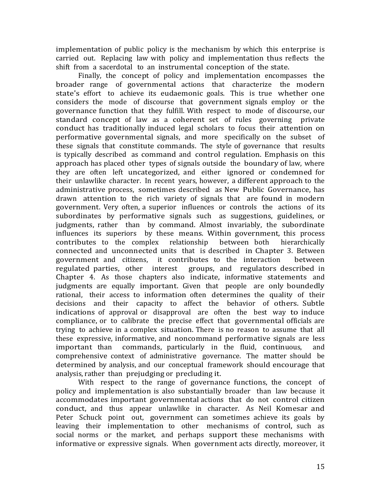implementation of public policy is the mechanism by which this enterprise is carried out. Replacing law with policy and implementation thus reflects the shift from a sacerdotal to an instrumental conception of the state.

Finally, the concept of policy and implementation encompasses the broader range of governmental actions that characterize the modern state's effort to achieve its eudaemonic goals. This is true whether one considers the mode of discourse that government signals employ or the governance function that they fulfill. With respect to mode of discourse, our standard concept of law as a coherent set of rules governing private conduct has traditionally induced legal scholars to focus their attention on performative governmental signals, and more specifically on the subset of these signals that constitute commands. The style of governance that results is typically described as command and control regulation. Emphasis on this approach has placed other types of signals outside the boundary of law, where they are often left uncategorized, and either ignored or condemned for their unlawlike character. In recent years, however, a different approach to the administrative process, sometimes described as New Public Governance, has drawn attention to the rich variety of signals that are found in modern government. Very often, a superior influences or controls the actions of its subordinates by performative signals such as suggestions, guidelines, or judgments, rather than by command. Almost invariably, the subordinate influences its superiors by these means. Within government, this process contributes to the complex relationship between both hierarchically connected and unconnected units that is described in Chapter 3. Between government and citizens, it contributes to the interaction between regulated parties, other interest groups, and regulators described in Chapter 4. As those chapters also indicate, informative statements and judgments are equally important. Given that people are only boundedly rational, their access to information often determines the quality of their decisions and their capacity to affect the behavior of others. Subtle indications of approval or disapproval are often the best way to induce compliance, or to calibrate the precise effect that governmental officials are trying to achieve in a complex situation. There is no reason to assume that all these expressive, informative, and noncommand performative signals are less important than commands, particularly in the fluid, continuous, and comprehensive context of administrative governance. The matter should be determined by analysis, and our conceptual framework should encourage that analysis, rather than prejudging or precluding it.

With respect to the range of governance functions, the concept of policy and implementation is also substantially broader than law because it accommodates important governmental actions that do not control citizen conduct, and thus appear unlawlike in character. As Neil Komesar and Peter Schuck point out, government can sometimes achieve its goals by leaving their implementation to other mechanisms of control, such as social norms or the market, and perhaps support these mechanisms with informative or expressive signals. When government acts directly, moreover, it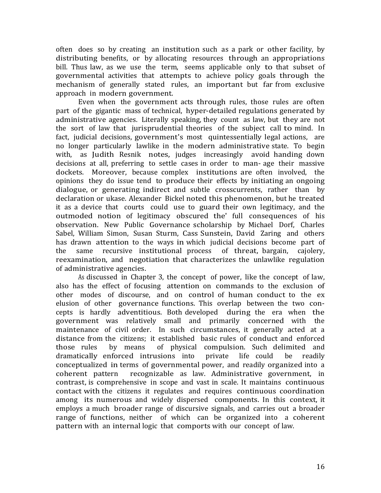often does so by creating an institution such as a park or other facility, by distributing benefits, or by allocating resources through an appropriations bill. Thus law, as we use the term, seems applicable only to that subset of governmental activities that attempts to achieve policy goals through the mechanism of generally stated rules, an important but far from exclusive approach in modern government.

Even when the government acts through rules, those rules are often part of the gigantic mass of technical, hyper-detailed regulations generated by administrative agencies. Literally speaking, they count as law, but they are not the sort of law that jurisprudential theories of the subject call to mind. In fact, judicial decisions, government's most quintessentially legal actions, are no longer particularly lawlike in the modern administrative state. To begin with, as Judith Resnik notes, judges increasingly avoid handing down decisions at all, preferring to settle cases in order to man- age their massive dockets. Moreover, because complex institutions are often involved, the opinions they do issue tend to produce their effects by initiating an ongoing dialogue, or generating indirect and subtle crosscurrents, rather than by declaration or ukase. Alexander Bickel noted this phenomenon, but he treated it as a device that courts could use to guard their own legitimacy, and the outmoded notion of legitimacy obscured the' full consequences of his observation. New Public Governance scholarship by Michael Dorf, Charles Sabel, William Simon, Susan Sturm, Cass Sunstein, David Zaring and others has drawn attention to the ways in which judicial decisions become part of the same recursive institutional process of threat, bargain, cajolery, reexamination, and negotiation that characterizes the unlawlike regulation of administrative agencies.

As discussed in Chapter 3, the concept of power, like the concept of law, also has the effect of focusing attention on commands to the exclusion of other modes of discourse, and on control of human conduct to the ex elusion of other governance functions. This overlap between the two concepts is hardly adventitious. Both developed during the era when the government was relatively small and primarily concerned with the maintenance of civil order. In such circumstances, it generally acted at a distance from the citizens; it established basic rules of conduct and enforced those rules by means of physical compulsion. Such delimited and dramatically enforced intrusions into private life could be readily conceptualized in terms of governmental power, and readily organized into a coherent pattern recognizable as law. Administrative government, in contrast, is comprehensive in scope and vast in scale. It maintains continuous contact with the citizens it regulates and requires continuous coordination among its numerous and widely dispersed components. In this context, it employs a much broader range of discursive signals, and carries out a broader range of functions, neither of which can be organized into a coherent pattern with an internal logic that comports with our concept of law.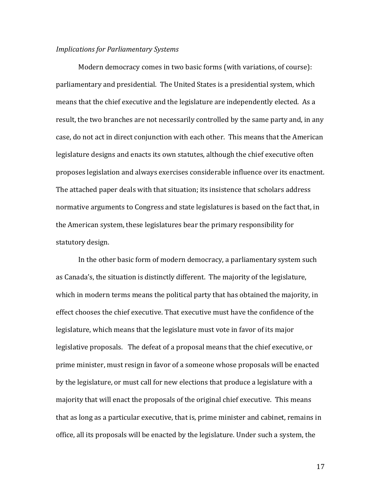#### *Implications for Parliamentary Systems*

Modern democracy comes in two basic forms (with variations, of course): parliamentary and presidential. The United States is a presidential system, which means that the chief executive and the legislature are independently elected. As a result, the two branches are not necessarily controlled by the same party and, in any case, do not act in direct conjunction with each other. This means that the American legislature designs and enacts its own statutes, although the chief executive often proposes legislation and always exercises considerable influence over its enactment. The attached paper deals with that situation; its insistence that scholars address normative arguments to Congress and state legislatures is based on the fact that, in the American system, these legislatures bear the primary responsibility for statutory design.

In the other basic form of modern democracy, a parliamentary system such as Canada's, the situation is distinctly different. The majority of the legislature, which in modern terms means the political party that has obtained the majority, in effect chooses the chief executive. That executive must have the confidence of the legislature, which means that the legislature must vote in favor of its major legislative proposals. The defeat of a proposal means that the chief executive, or prime minister, must resign in favor of a someone whose proposals will be enacted by the legislature, or must call for new elections that produce a legislature with a majority that will enact the proposals of the original chief executive. This means that as long as a particular executive, that is, prime minister and cabinet, remains in office, all its proposals will be enacted by the legislature. Under such a system, the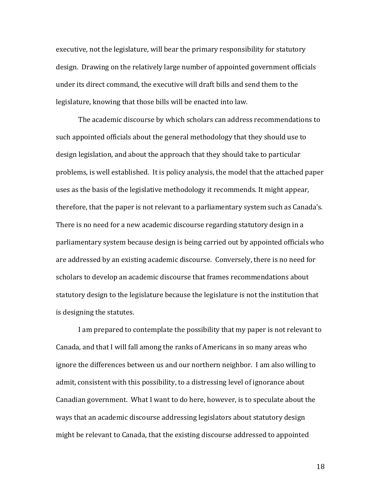executive, not the legislature, will bear the primary responsibility for statutory design. Drawing on the relatively large number of appointed government officials under its direct command, the executive will draft bills and send them to the legislature, knowing that those bills will be enacted into law.

The academic discourse by which scholars can address recommendations to such appointed officials about the general methodology that they should use to design legislation, and about the approach that they should take to particular problems, is well established. It is policy analysis, the model that the attached paper uses as the basis of the legislative methodology it recommends. It might appear, therefore, that the paper is not relevant to a parliamentary system such as Canada's. There is no need for a new academic discourse regarding statutory design in a parliamentary system because design is being carried out by appointed officials who are addressed by an existing academic discourse. Conversely, there is no need for scholars to develop an academic discourse that frames recommendations about statutory design to the legislature because the legislature is not the institution that is designing the statutes.

I am prepared to contemplate the possibility that my paper is not relevant to Canada, and that I will fall among the ranks of Americans in so many areas who ignore the differences between us and our northern neighbor. I am also willing to admit, consistent with this possibility, to a distressing level of ignorance about Canadian government. What I want to do here, however, is to speculate about the ways that an academic discourse addressing legislators about statutory design might be relevant to Canada, that the existing discourse addressed to appointed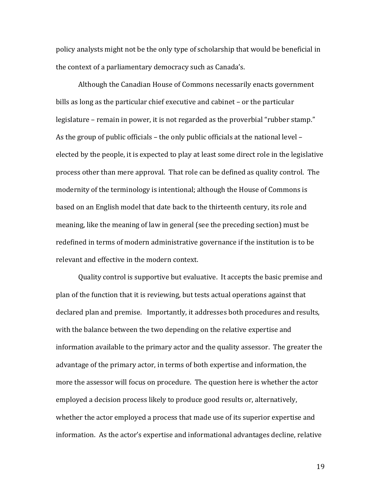policy analysts might not be the only type of scholarship that would be beneficial in the context of a parliamentary democracy such as Canada's.

Although the Canadian House of Commons necessarily enacts government bills as long as the particular chief executive and cabinet – or the particular legislature – remain in power, it is not regarded as the proverbial "rubber stamp." As the group of public officials – the only public officials at the national level – elected by the people, it is expected to play at least some direct role in the legislative process other than mere approval. That role can be defined as quality control. The modernity of the terminology is intentional; although the House of Commons is based on an English model that date back to the thirteenth century, its role and meaning, like the meaning of law in general (see the preceding section) must be redefined in terms of modern administrative governance if the institution is to be relevant and effective in the modern context.

Quality control is supportive but evaluative. It accepts the basic premise and plan of the function that it is reviewing, but tests actual operations against that declared plan and premise. Importantly, it addresses both procedures and results, with the balance between the two depending on the relative expertise and information available to the primary actor and the quality assessor. The greater the advantage of the primary actor, in terms of both expertise and information, the more the assessor will focus on procedure. The question here is whether the actor employed a decision process likely to produce good results or, alternatively, whether the actor employed a process that made use of its superior expertise and information. As the actor's expertise and informational advantages decline, relative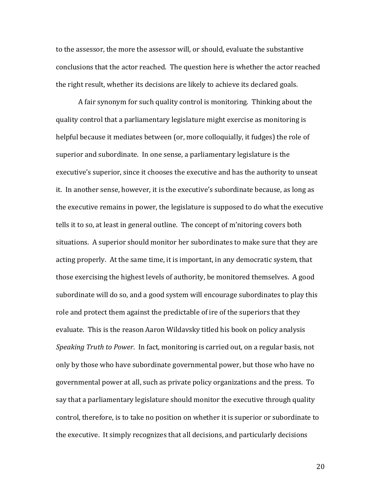to the assessor, the more the assessor will, or should, evaluate the substantive conclusions that the actor reached. The question here is whether the actor reached the right result, whether its decisions are likely to achieve its declared goals.

A fair synonym for such quality control is monitoring. Thinking about the quality control that a parliamentary legislature might exercise as monitoring is helpful because it mediates between (or, more colloquially, it fudges) the role of superior and subordinate. In one sense, a parliamentary legislature is the executive's superior, since it chooses the executive and has the authority to unseat it. In another sense, however, it is the executive's subordinate because, as long as the executive remains in power, the legislature is supposed to do what the executive tells it to so, at least in general outline. The concept of m'nitoring covers both situations. A superior should monitor her subordinates to make sure that they are acting properly. At the same time, it is important, in any democratic system, that those exercising the highest levels of authority, be monitored themselves. A good subordinate will do so, and a good system will encourage subordinates to play this role and protect them against the predictable of ire of the superiors that they evaluate. This is the reason Aaron Wildavsky titled his book on policy analysis *Speaking Truth to Power*. In fact, monitoring is carried out, on a regular basis, not only by those who have subordinate governmental power, but those who have no governmental power at all, such as private policy organizations and the press. To say that a parliamentary legislature should monitor the executive through quality control, therefore, is to take no position on whether it is superior or subordinate to the executive. It simply recognizes that all decisions, and particularly decisions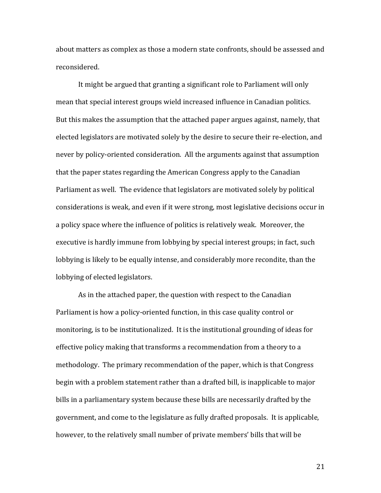about matters as complex as those a modern state confronts, should be assessed and reconsidered.

It might be argued that granting a significant role to Parliament will only mean that special interest groups wield increased influence in Canadian politics. But this makes the assumption that the attached paper argues against, namely, that elected legislators are motivated solely by the desire to secure their re-election, and never by policy-oriented consideration. All the arguments against that assumption that the paper states regarding the American Congress apply to the Canadian Parliament as well. The evidence that legislators are motivated solely by political considerations is weak, and even if it were strong, most legislative decisions occur in a policy space where the influence of politics is relatively weak. Moreover, the executive is hardly immune from lobbying by special interest groups; in fact, such lobbying is likely to be equally intense, and considerably more recondite, than the lobbying of elected legislators.

As in the attached paper, the question with respect to the Canadian Parliament is how a policy-oriented function, in this case quality control or monitoring, is to be institutionalized. It is the institutional grounding of ideas for effective policy making that transforms a recommendation from a theory to a methodology. The primary recommendation of the paper, which is that Congress begin with a problem statement rather than a drafted bill, is inapplicable to major bills in a parliamentary system because these bills are necessarily drafted by the government, and come to the legislature as fully drafted proposals. It is applicable, however, to the relatively small number of private members' bills that will be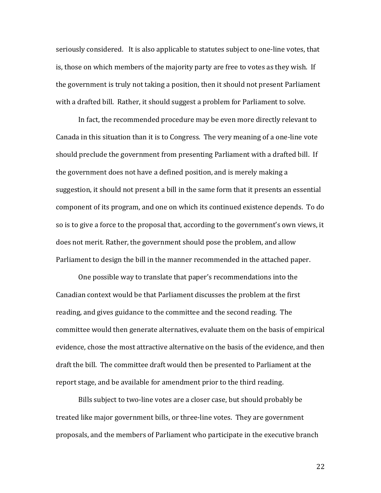seriously considered. It is also applicable to statutes subject to one-line votes, that is, those on which members of the majority party are free to votes as they wish. If the government is truly not taking a position, then it should not present Parliament with a drafted bill. Rather, it should suggest a problem for Parliament to solve.

In fact, the recommended procedure may be even more directly relevant to Canada in this situation than it is to Congress. The very meaning of a one-line vote should preclude the government from presenting Parliament with a drafted bill. If the government does not have a defined position, and is merely making a suggestion, it should not present a bill in the same form that it presents an essential component of its program, and one on which its continued existence depends. To do so is to give a force to the proposal that, according to the government's own views, it does not merit. Rather, the government should pose the problem, and allow Parliament to design the bill in the manner recommended in the attached paper.

One possible way to translate that paper's recommendations into the Canadian context would be that Parliament discusses the problem at the first reading, and gives guidance to the committee and the second reading. The committee would then generate alternatives, evaluate them on the basis of empirical evidence, chose the most attractive alternative on the basis of the evidence, and then draft the bill. The committee draft would then be presented to Parliament at the report stage, and be available for amendment prior to the third reading.

Bills subject to two-line votes are a closer case, but should probably be treated like major government bills, or three-line votes. They are government proposals, and the members of Parliament who participate in the executive branch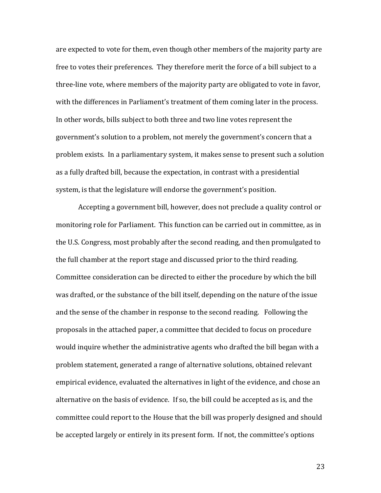are expected to vote for them, even though other members of the majority party are free to votes their preferences. They therefore merit the force of a bill subject to a three-line vote, where members of the majority party are obligated to vote in favor, with the differences in Parliament's treatment of them coming later in the process. In other words, bills subject to both three and two line votes represent the government's solution to a problem, not merely the government's concern that a problem exists. In a parliamentary system, it makes sense to present such a solution as a fully drafted bill, because the expectation, in contrast with a presidential system, is that the legislature will endorse the government's position.

Accepting a government bill, however, does not preclude a quality control or monitoring role for Parliament. This function can be carried out in committee, as in the U.S. Congress, most probably after the second reading, and then promulgated to the full chamber at the report stage and discussed prior to the third reading. Committee consideration can be directed to either the procedure by which the bill was drafted, or the substance of the bill itself, depending on the nature of the issue and the sense of the chamber in response to the second reading. Following the proposals in the attached paper, a committee that decided to focus on procedure would inquire whether the administrative agents who drafted the bill began with a problem statement, generated a range of alternative solutions, obtained relevant empirical evidence, evaluated the alternatives in light of the evidence, and chose an alternative on the basis of evidence. If so, the bill could be accepted as is, and the committee could report to the House that the bill was properly designed and should be accepted largely or entirely in its present form. If not, the committee's options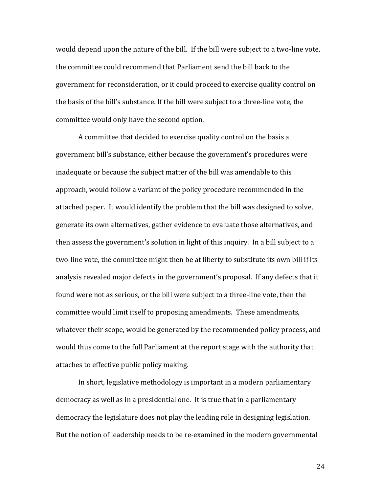would depend upon the nature of the bill. If the bill were subject to a two-line vote, the committee could recommend that Parliament send the bill back to the government for reconsideration, or it could proceed to exercise quality control on the basis of the bill's substance. If the bill were subject to a three-line vote, the committee would only have the second option.

A committee that decided to exercise quality control on the basis a government bill's substance, either because the government's procedures were inadequate or because the subject matter of the bill was amendable to this approach, would follow a variant of the policy procedure recommended in the attached paper. It would identify the problem that the bill was designed to solve, generate its own alternatives, gather evidence to evaluate those alternatives, and then assess the government's solution in light of this inquiry. In a bill subject to a two-line vote, the committee might then be at liberty to substitute its own bill if its analysis revealed major defects in the government's proposal. If any defects that it found were not as serious, or the bill were subject to a three-line vote, then the committee would limit itself to proposing amendments. These amendments, whatever their scope, would be generated by the recommended policy process, and would thus come to the full Parliament at the report stage with the authority that attaches to effective public policy making.

In short, legislative methodology is important in a modern parliamentary democracy as well as in a presidential one. It is true that in a parliamentary democracy the legislature does not play the leading role in designing legislation. But the notion of leadership needs to be re-examined in the modern governmental